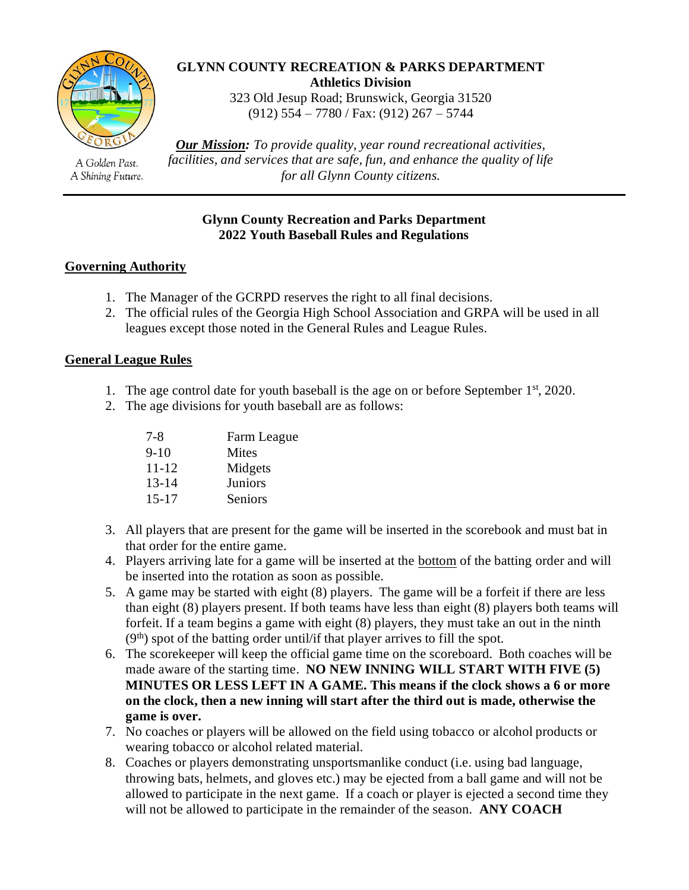

A Golden Past. A Shining Future.

#### **GLYNN COUNTY RECREATION & PARKS DEPARTMENT Athletics Division**

323 Old Jesup Road; Brunswick, Georgia 31520 (912) 554 – 7780 / Fax: (912) 267 – 5744

*Our Mission: To provide quality, year round recreational activities, facilities, and services that are safe, fun, and enhance the quality of life for all Glynn County citizens.*

### **Glynn County Recreation and Parks Department 2022 Youth Baseball Rules and Regulations**

# **Governing Authority**

- 1. The Manager of the GCRPD reserves the right to all final decisions.
- 2. The official rules of the Georgia High School Association and GRPA will be used in all leagues except those noted in the General Rules and League Rules.

# **General League Rules**

- 1. The age control date for youth baseball is the age on or before September  $1<sup>st</sup>$ , 2020.
- 2. The age divisions for youth baseball are as follows:

| 7-8       | Farm League |
|-----------|-------------|
| $9-10$    | Mites       |
| 11-12     | Midgets     |
| $13 - 14$ | Juniors     |
| $15 - 17$ | Seniors     |

- 3. All players that are present for the game will be inserted in the scorebook and must bat in that order for the entire game.
- 4. Players arriving late for a game will be inserted at the bottom of the batting order and will be inserted into the rotation as soon as possible.
- 5. A game may be started with eight (8) players. The game will be a forfeit if there are less than eight (8) players present. If both teams have less than eight (8) players both teams will forfeit. If a team begins a game with eight (8) players, they must take an out in the ninth  $(9<sup>th</sup>)$  spot of the batting order until/if that player arrives to fill the spot.
- 6. The scorekeeper will keep the official game time on the scoreboard. Both coaches will be made aware of the starting time. **NO NEW INNING WILL START WITH FIVE (5) MINUTES OR LESS LEFT IN A GAME. This means if the clock shows a 6 or more on the clock, then a new inning will start after the third out is made, otherwise the game is over.**
- 7. No coaches or players will be allowed on the field using tobacco or alcohol products or wearing tobacco or alcohol related material.
- 8. Coaches or players demonstrating unsportsmanlike conduct (i.e. using bad language, throwing bats, helmets, and gloves etc.) may be ejected from a ball game and will not be allowed to participate in the next game. If a coach or player is ejected a second time they will not be allowed to participate in the remainder of the season. **ANY COACH**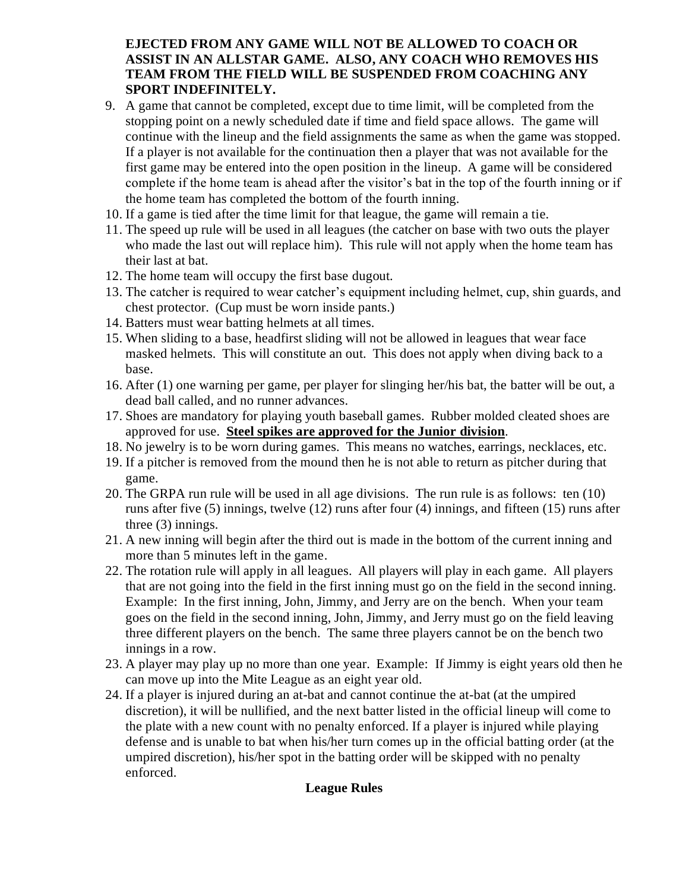### **EJECTED FROM ANY GAME WILL NOT BE ALLOWED TO COACH OR ASSIST IN AN ALLSTAR GAME. ALSO, ANY COACH WHO REMOVES HIS TEAM FROM THE FIELD WILL BE SUSPENDED FROM COACHING ANY SPORT INDEFINITELY.**

- 9. A game that cannot be completed, except due to time limit, will be completed from the stopping point on a newly scheduled date if time and field space allows. The game will continue with the lineup and the field assignments the same as when the game was stopped. If a player is not available for the continuation then a player that was not available for the first game may be entered into the open position in the lineup. A game will be considered complete if the home team is ahead after the visitor's bat in the top of the fourth inning or if the home team has completed the bottom of the fourth inning.
- 10. If a game is tied after the time limit for that league, the game will remain a tie.
- 11. The speed up rule will be used in all leagues (the catcher on base with two outs the player who made the last out will replace him). This rule will not apply when the home team has their last at bat.
- 12. The home team will occupy the first base dugout.
- 13. The catcher is required to wear catcher's equipment including helmet, cup, shin guards, and chest protector. (Cup must be worn inside pants.)
- 14. Batters must wear batting helmets at all times.
- 15. When sliding to a base, headfirst sliding will not be allowed in leagues that wear face masked helmets. This will constitute an out. This does not apply when diving back to a base.
- 16. After (1) one warning per game, per player for slinging her/his bat, the batter will be out, a dead ball called, and no runner advances.
- 17. Shoes are mandatory for playing youth baseball games. Rubber molded cleated shoes are approved for use. **Steel spikes are approved for the Junior division**.
- 18. No jewelry is to be worn during games. This means no watches, earrings, necklaces, etc.
- 19. If a pitcher is removed from the mound then he is not able to return as pitcher during that game.
- 20. The GRPA run rule will be used in all age divisions. The run rule is as follows: ten (10) runs after five (5) innings, twelve (12) runs after four (4) innings, and fifteen (15) runs after three (3) innings.
- 21. A new inning will begin after the third out is made in the bottom of the current inning and more than 5 minutes left in the game.
- 22. The rotation rule will apply in all leagues. All players will play in each game. All players that are not going into the field in the first inning must go on the field in the second inning. Example: In the first inning, John, Jimmy, and Jerry are on the bench. When your team goes on the field in the second inning, John, Jimmy, and Jerry must go on the field leaving three different players on the bench. The same three players cannot be on the bench two innings in a row.
- 23. A player may play up no more than one year. Example: If Jimmy is eight years old then he can move up into the Mite League as an eight year old.
- 24. If a player is injured during an at-bat and cannot continue the at-bat (at the umpired discretion), it will be nullified, and the next batter listed in the official lineup will come to the plate with a new count with no penalty enforced. If a player is injured while playing defense and is unable to bat when his/her turn comes up in the official batting order (at the umpired discretion), his/her spot in the batting order will be skipped with no penalty enforced.

# **League Rules**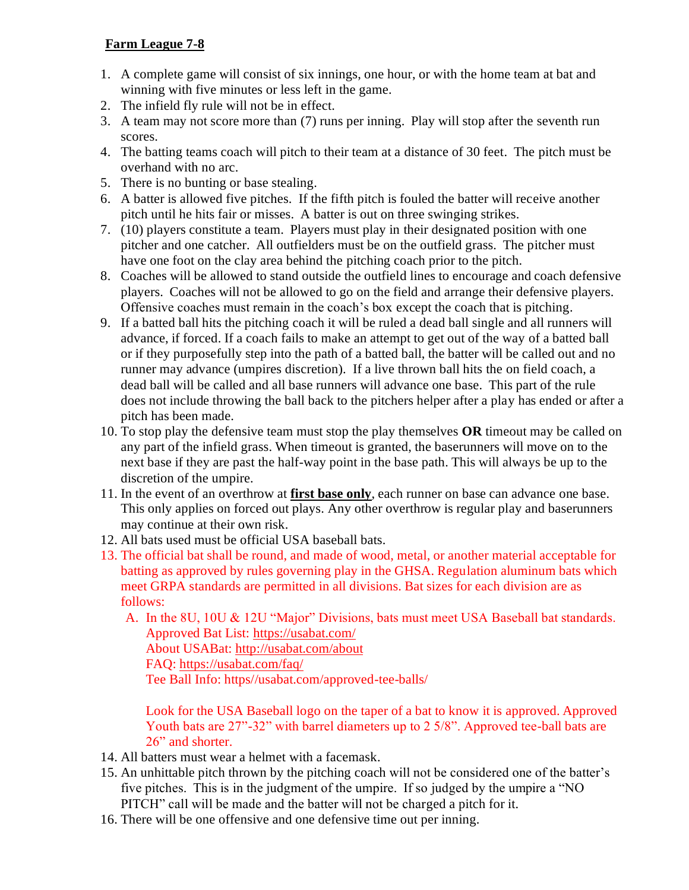# **Farm League 7-8**

- 1. A complete game will consist of six innings, one hour, or with the home team at bat and winning with five minutes or less left in the game.
- 2. The infield fly rule will not be in effect.
- 3. A team may not score more than (7) runs per inning. Play will stop after the seventh run scores.
- 4. The batting teams coach will pitch to their team at a distance of 30 feet. The pitch must be overhand with no arc.
- 5. There is no bunting or base stealing.
- 6. A batter is allowed five pitches. If the fifth pitch is fouled the batter will receive another pitch until he hits fair or misses. A batter is out on three swinging strikes.
- 7. (10) players constitute a team. Players must play in their designated position with one pitcher and one catcher. All outfielders must be on the outfield grass. The pitcher must have one foot on the clay area behind the pitching coach prior to the pitch.
- 8. Coaches will be allowed to stand outside the outfield lines to encourage and coach defensive players. Coaches will not be allowed to go on the field and arrange their defensive players. Offensive coaches must remain in the coach's box except the coach that is pitching.
- 9. If a batted ball hits the pitching coach it will be ruled a dead ball single and all runners will advance, if forced. If a coach fails to make an attempt to get out of the way of a batted ball or if they purposefully step into the path of a batted ball, the batter will be called out and no runner may advance (umpires discretion). If a live thrown ball hits the on field coach, a dead ball will be called and all base runners will advance one base. This part of the rule does not include throwing the ball back to the pitchers helper after a play has ended or after a pitch has been made.
- 10. To stop play the defensive team must stop the play themselves **OR** timeout may be called on any part of the infield grass. When timeout is granted, the baserunners will move on to the next base if they are past the half-way point in the base path. This will always be up to the discretion of the umpire.
- 11. In the event of an overthrow at **first base only**, each runner on base can advance one base. This only applies on forced out plays. Any other overthrow is regular play and baserunners may continue at their own risk.
- 12. All bats used must be official USA baseball bats.
- 13. The official bat shall be round, and made of wood, metal, or another material acceptable for batting as approved by rules governing play in the GHSA. Regulation aluminum bats which meet GRPA standards are permitted in all divisions. Bat sizes for each division are as follows:

A. In the 8U, 10U & 12U "Major" Divisions, bats must meet USA Baseball bat standards. Approved Bat List:<https://usabat.com/>

About USABat:<http://usabat.com/about>

FAQ:<https://usabat.com/faq/>

Tee Ball Info: https//usabat.com/approved-tee-balls/

Look for the USA Baseball logo on the taper of a bat to know it is approved. Approved Youth bats are 27"-32" with barrel diameters up to 2 5/8". Approved tee-ball bats are 26" and shorter.

- 14. All batters must wear a helmet with a facemask.
- 15. An unhittable pitch thrown by the pitching coach will not be considered one of the batter's five pitches. This is in the judgment of the umpire. If so judged by the umpire a "NO PITCH" call will be made and the batter will not be charged a pitch for it.
- 16. There will be one offensive and one defensive time out per inning.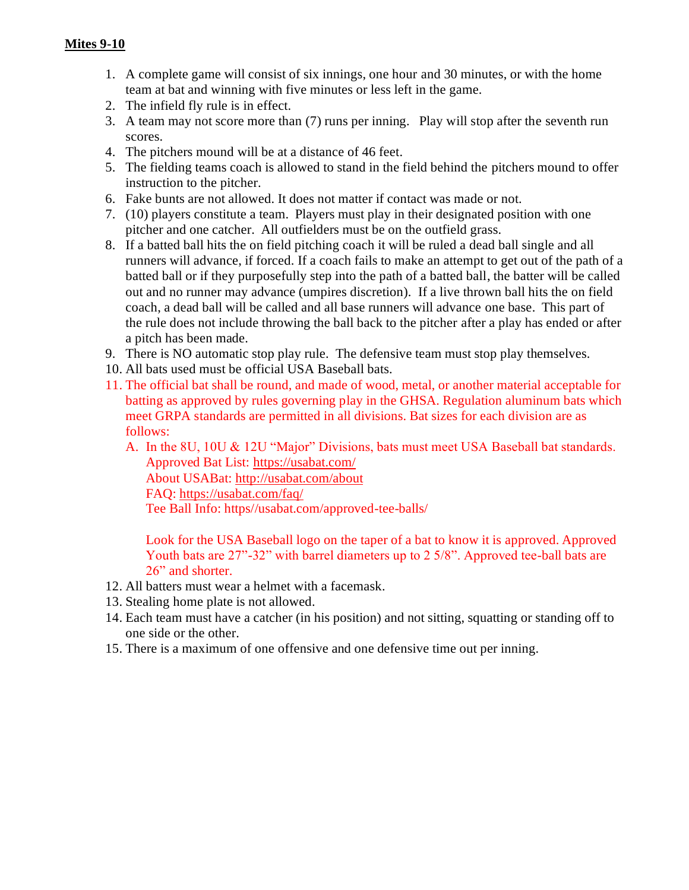- 1. A complete game will consist of six innings, one hour and 30 minutes, or with the home team at bat and winning with five minutes or less left in the game.
- 2. The infield fly rule is in effect.
- 3. A team may not score more than (7) runs per inning. Play will stop after the seventh run scores.
- 4. The pitchers mound will be at a distance of 46 feet.
- 5. The fielding teams coach is allowed to stand in the field behind the pitchers mound to offer instruction to the pitcher.
- 6. Fake bunts are not allowed. It does not matter if contact was made or not.
- 7. (10) players constitute a team. Players must play in their designated position with one pitcher and one catcher. All outfielders must be on the outfield grass.
- 8. If a batted ball hits the on field pitching coach it will be ruled a dead ball single and all runners will advance, if forced. If a coach fails to make an attempt to get out of the path of a batted ball or if they purposefully step into the path of a batted ball, the batter will be called out and no runner may advance (umpires discretion). If a live thrown ball hits the on field coach, a dead ball will be called and all base runners will advance one base. This part of the rule does not include throwing the ball back to the pitcher after a play has ended or after a pitch has been made.
- 9. There is NO automatic stop play rule. The defensive team must stop play themselves.
- 10. All bats used must be official USA Baseball bats.
- 11. The official bat shall be round, and made of wood, metal, or another material acceptable for batting as approved by rules governing play in the GHSA. Regulation aluminum bats which meet GRPA standards are permitted in all divisions. Bat sizes for each division are as follows:
	- A. In the 8U, 10U & 12U "Major" Divisions, bats must meet USA Baseball bat standards. Approved Bat List:<https://usabat.com/> About USABat:<http://usabat.com/about> FAQ:<https://usabat.com/faq/> Tee Ball Info: https//usabat.com/approved-tee-balls/

Look for the USA Baseball logo on the taper of a bat to know it is approved. Approved Youth bats are 27"-32" with barrel diameters up to 2 5/8". Approved tee-ball bats are 26" and shorter.

- 12. All batters must wear a helmet with a facemask.
- 13. Stealing home plate is not allowed.
- 14. Each team must have a catcher (in his position) and not sitting, squatting or standing off to one side or the other.
- 15. There is a maximum of one offensive and one defensive time out per inning.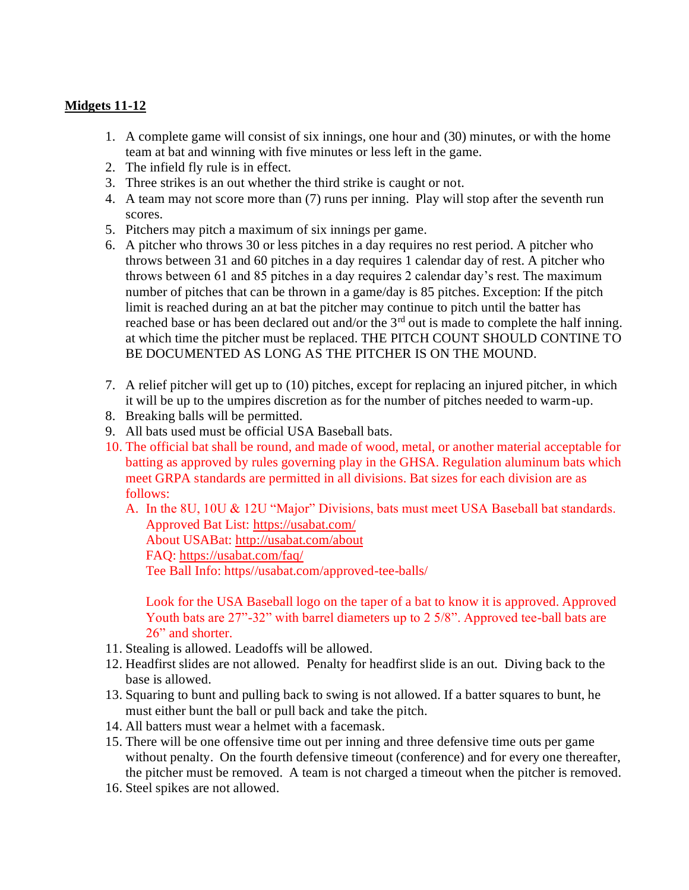### **Midgets 11-12**

- 1. A complete game will consist of six innings, one hour and (30) minutes, or with the home team at bat and winning with five minutes or less left in the game.
- 2. The infield fly rule is in effect.
- 3. Three strikes is an out whether the third strike is caught or not.
- 4. A team may not score more than (7) runs per inning. Play will stop after the seventh run scores.
- 5. Pitchers may pitch a maximum of six innings per game.
- 6. A pitcher who throws 30 or less pitches in a day requires no rest period. A pitcher who throws between 31 and 60 pitches in a day requires 1 calendar day of rest. A pitcher who throws between 61 and 85 pitches in a day requires 2 calendar day's rest. The maximum number of pitches that can be thrown in a game/day is 85 pitches. Exception: If the pitch limit is reached during an at bat the pitcher may continue to pitch until the batter has reached base or has been declared out and/or the 3<sup>rd</sup> out is made to complete the half inning. at which time the pitcher must be replaced. THE PITCH COUNT SHOULD CONTINE TO BE DOCUMENTED AS LONG AS THE PITCHER IS ON THE MOUND.
- 7. A relief pitcher will get up to (10) pitches, except for replacing an injured pitcher, in which it will be up to the umpires discretion as for the number of pitches needed to warm-up.
- 8. Breaking balls will be permitted.
- 9. All bats used must be official USA Baseball bats.
- 10. The official bat shall be round, and made of wood, metal, or another material acceptable for batting as approved by rules governing play in the GHSA. Regulation aluminum bats which meet GRPA standards are permitted in all divisions. Bat sizes for each division are as follows:

A. In the 8U, 10U & 12U "Major" Divisions, bats must meet USA Baseball bat standards. Approved Bat List:<https://usabat.com/> About USABat:<http://usabat.com/about> FAQ:<https://usabat.com/faq/> Tee Ball Info: https//usabat.com/approved-tee-balls/

Look for the USA Baseball logo on the taper of a bat to know it is approved. Approved Youth bats are 27"-32" with barrel diameters up to 2 5/8". Approved tee-ball bats are 26" and shorter.

- 11. Stealing is allowed. Leadoffs will be allowed.
- 12. Headfirst slides are not allowed. Penalty for headfirst slide is an out. Diving back to the base is allowed.
- 13. Squaring to bunt and pulling back to swing is not allowed. If a batter squares to bunt, he must either bunt the ball or pull back and take the pitch.
- 14. All batters must wear a helmet with a facemask.
- 15. There will be one offensive time out per inning and three defensive time outs per game without penalty. On the fourth defensive timeout (conference) and for every one thereafter, the pitcher must be removed. A team is not charged a timeout when the pitcher is removed.
- 16. Steel spikes are not allowed.